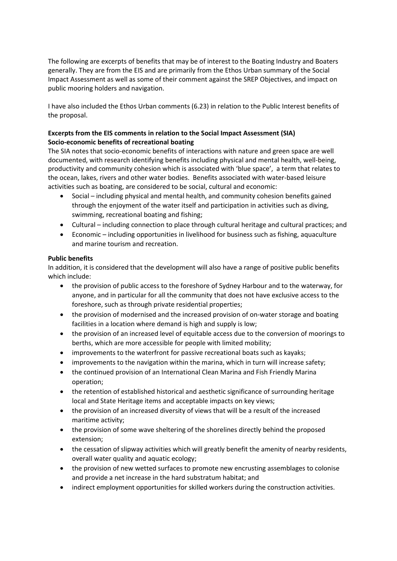The following are excerpts of benefits that may be of interest to the Boating Industry and Boaters generally. They are from the EIS and are primarily from the Ethos Urban summary of the Social Impact Assessment as well as some of their comment against the SREP Objectives, and impact on public mooring holders and navigation.

I have also included the Ethos Urban comments (6.23) in relation to the Public Interest benefits of the proposal.

# Excerpts from the EIS comments in relation to the Social Impact Assessment (SIA) Socio-economic benefits of recreational boating

The SIA notes that socio-economic benefits of interactions with nature and green space are well documented, with research identifying benefits including physical and mental health, well-being, productivity and community cohesion which is associated with 'blue space', a term that relates to the ocean, lakes, rivers and other water bodies. Benefits associated with water-based leisure activities such as boating, are considered to be social, cultural and economic:

- Social including physical and mental health, and community cohesion benefits gained through the enjoyment of the water itself and participation in activities such as diving, swimming, recreational boating and fishing;
- Cultural including connection to place through cultural heritage and cultural practices; and
- Economic including opportunities in livelihood for business such as fishing, aquaculture and marine tourism and recreation.

# Public benefits

In addition, it is considered that the development will also have a range of positive public benefits which include:

- the provision of public access to the foreshore of Sydney Harbour and to the waterway, for anyone, and in particular for all the community that does not have exclusive access to the foreshore, such as through private residential properties;
- the provision of modernised and the increased provision of on-water storage and boating facilities in a location where demand is high and supply is low;
- the provision of an increased level of equitable access due to the conversion of moorings to berths, which are more accessible for people with limited mobility;
- improvements to the waterfront for passive recreational boats such as kayaks;
- improvements to the navigation within the marina, which in turn will increase safety;
- the continued provision of an International Clean Marina and Fish Friendly Marina operation;
- the retention of established historical and aesthetic significance of surrounding heritage local and State Heritage items and acceptable impacts on key views;
- the provision of an increased diversity of views that will be a result of the increased maritime activity;
- the provision of some wave sheltering of the shorelines directly behind the proposed extension;
- the cessation of slipway activities which will greatly benefit the amenity of nearby residents, overall water quality and aquatic ecology;
- the provision of new wetted surfaces to promote new encrusting assemblages to colonise and provide a net increase in the hard substratum habitat; and
- indirect employment opportunities for skilled workers during the construction activities.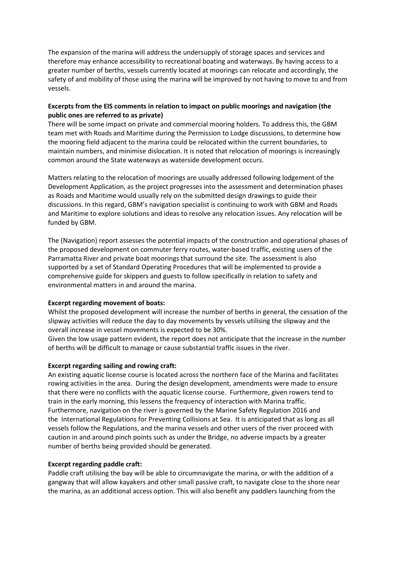The expansion of the marina will address the undersupply of storage spaces and services and therefore may enhance accessibility to recreational boating and waterways. By having access to a greater number of berths, vessels currently located at moorings can relocate and accordingly, the safety of and mobility of those using the marina will be improved by not having to move to and from vessels.

### Excerpts from the EIS comments in relation to impact on public moorings and navigation (the public ones are referred to as private)

There will be some impact on private and commercial mooring holders. To address this, the GBM team met with Roads and Maritime during the Permission to Lodge discussions, to determine how the mooring field adjacent to the marina could be relocated within the current boundaries, to maintain numbers, and minimise dislocation. It is noted that relocation of moorings is increasingly common around the State waterways as waterside development occurs.

Matters relating to the relocation of moorings are usually addressed following lodgement of the Development Application, as the project progresses into the assessment and determination phases as Roads and Maritime would usually rely on the submitted design drawings to guide their discussions. In this regard, GBM's navigation specialist is continuing to work with GBM and Roads and Maritime to explore solutions and ideas to resolve any relocation issues. Any relocation will be funded by GBM.

The (Navigation) report assesses the potential impacts of the construction and operational phases of the proposed development on commuter ferry routes, water-based traffic, existing users of the Parramatta River and private boat moorings that surround the site. The assessment is also supported by a set of Standard Operating Procedures that will be implemented to provide a comprehensive guide for skippers and guests to follow specifically in relation to safety and environmental matters in and around the marina.

#### Excerpt regarding movement of boats:

Whilst the proposed development will increase the number of berths in general, the cessation of the slipway activities will reduce the day to day movements by vessels utilising the slipway and the overall increase in vessel movements is expected to be 30%.

Given the low usage pattern evident, the report does not anticipate that the increase in the number of berths will be difficult to manage or cause substantial traffic issues in the river.

#### Excerpt regarding sailing and rowing craft:

An existing aquatic license course is located across the northern face of the Marina and facilitates rowing activities in the area. During the design development, amendments were made to ensure that there were no conflicts with the aquatic license course. Furthermore, given rowers tend to train in the early morning, this lessens the frequency of interaction with Marina traffic. Furthermore, navigation on the river is governed by the Marine Safety Regulation 2016 and the International Regulations for Preventing Collisions at Sea. It is anticipated that as long as all vessels follow the Regulations, and the marina vessels and other users of the river proceed with caution in and around pinch points such as under the Bridge, no adverse impacts by a greater number of berths being provided should be generated.

#### Excerpt regarding paddle craft:

Paddle craft utilising the bay will be able to circumnavigate the marina, or with the addition of a gangway that will allow kayakers and other small passive craft, to navigate close to the shore near the marina, as an additional access option. This will also benefit any paddlers launching from the